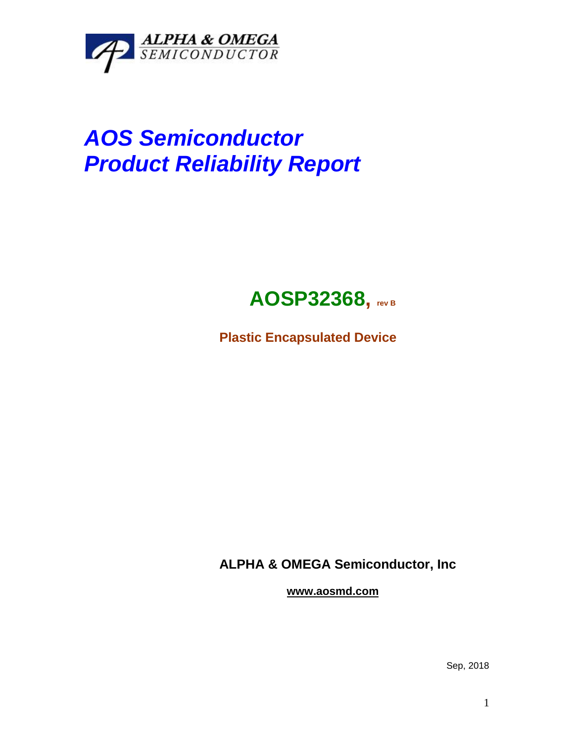

## *AOS Semiconductor Product Reliability Report*



**Plastic Encapsulated Device**

**ALPHA & OMEGA Semiconductor, Inc**

**www.aosmd.com**

Sep, 2018